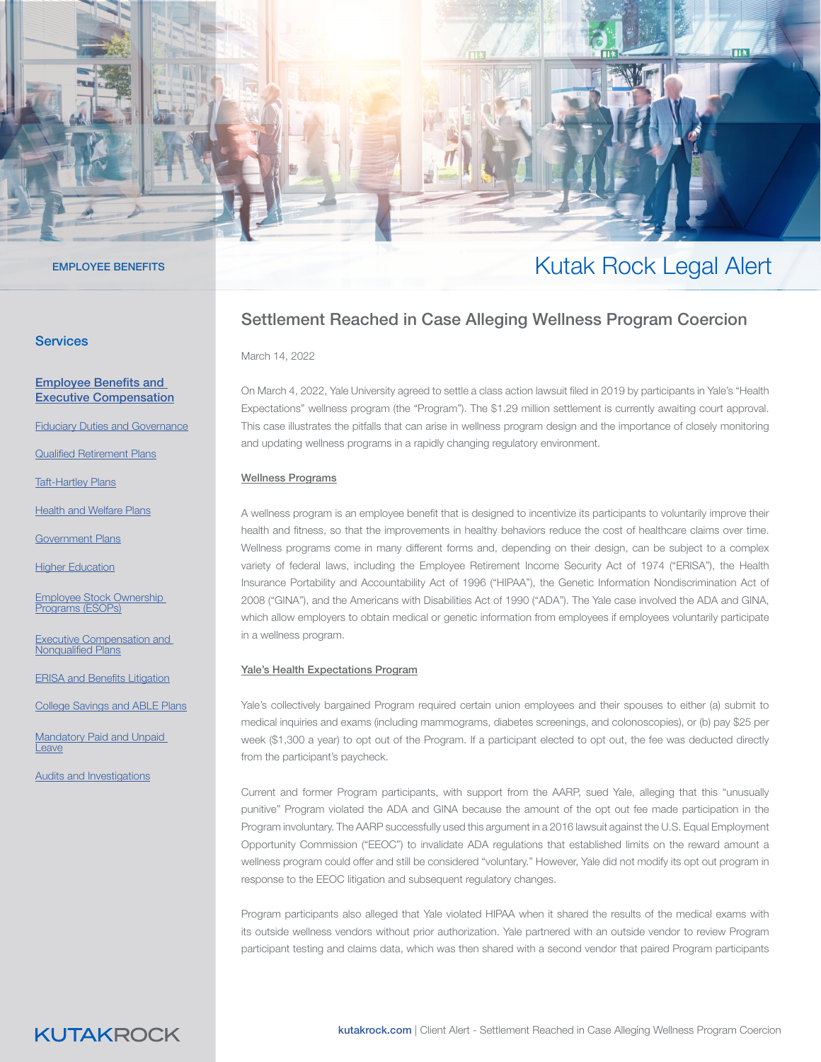#### **Services**

#### [Employee Benefits and](https://www.kutakrock.com/services/practices/employee-benefits-and-executive-compensation)  [Executive Compensation](https://www.kutakrock.com/services/practices/employee-benefits-and-executive-compensation)

[Fiduciary Duties and Governance](https://www.kutakrock.com/services/practices/employee-benefits-and-executive-compensation/fiduciary-duties-and-governance)

[Qualified Retirement Plans](https://www.kutakrock.com/services/practices/employee-benefits-and-executive-compensation/qualified-retirement-plans)

[Taft-Hartley Plans](https://www.kutakrock.com/services/practices/employee-benefits-and-executive-compensation/taft-hartley-plans)

[Health and Welfare Plans](https://www.kutakrock.com/services/practices/employee-benefits-and-executive-compensation/health-and-welfare-plans)

[Government Plans](https://www.kutakrock.com/services/practices/employee-benefits-and-executive-compensation/government-plans)

[Higher Education](https://www.kutakrock.com/services/practices/employee-benefits-and-executive-compensation/higher-education)

[Employee Stock Ownership](https://www.kutakrock.com/services/practices/employee-benefits-and-executive-compensation/esops)  Programs (ESOPs

[Executive Compensation and](https://www.kutakrock.com/services/practices/employee-benefits-and-executive-compensation/executive-compensation-and-nonqualified-plans)  [Nonqualified Plans](https://www.kutakrock.com/services/practices/employee-benefits-and-executive-compensation/executive-compensation-and-nonqualified-plans)

[ERISA and Benefits Litigation](https://www.kutakrock.com/services/practices/employee-benefits-and-executive-compensation/erisa-and-benefits-litigation)

[College Savings and ABLE Plans](https://www.kutakrock.com/services/practices/employee-benefits-and-executive-compensation/college-savings-and-able-plans)

[Mandatory Paid and Unpaid](https://www.kutakrock.com/services/practices/employee-benefits-and-executive-compensation/mandatory-paid-and-unpaid-leave)  [Leave](https://www.kutakrock.com/services/practices/employee-benefits-and-executive-compensation/mandatory-paid-and-unpaid-leave)

[Audits and Investigations](https://www.kutakrock.com/services/practices/employee-benefits-and-executive-compensation/audits-and-investigations)

## EMPLOYEE BENEFITS THE STATE OF THE SERVER OF THE STATE OF THE STATE OF THE STATE OF THE STATE OF THE STATE OF THE STATE OF THE STATE OF THE STATE OF THE STATE OF THE STATE OF THE STATE OF THE STATE OF THE STATE OF THE STAT

### Settlement Reached in Case Alleging Wellness Program Coercion

March 14, 2022

On March 4, 2022, Yale University agreed to settle a class action lawsuit filed in 2019 by participants in Yale's "Health Expectations" wellness program (the "Program"). The \$1.29 million settlement is currently awaiting court approval. This case illustrates the pitfalls that can arise in wellness program design and the importance of closely monitoring and updating wellness programs in a rapidly changing regulatory environment.

#### Wellness Programs

A wellness program is an employee benefit that is designed to incentivize its participants to voluntarily improve their health and fitness, so that the improvements in healthy behaviors reduce the cost of healthcare claims over time. Wellness programs come in many different forms and, depending on their design, can be subject to a complex variety of federal laws, including the Employee Retirement Income Security Act of 1974 ("ERISA"), the Health Insurance Portability and Accountability Act of 1996 ("HIPAA"), the Genetic Information Nondiscrimination Act of 2008 ("GINA"), and the Americans with Disabilities Act of 1990 ("ADA"). The Yale case involved the ADA and GINA, which allow employers to obtain medical or genetic information from employees if employees voluntarily participate in a wellness program.

#### Yale's Health Expectations Program

Yale's collectively bargained Program required certain union employees and their spouses to either (a) submit to medical inquiries and exams (including mammograms, diabetes screenings, and colonoscopies), or (b) pay \$25 per week (\$1,300 a year) to opt out of the Program. If a participant elected to opt out, the fee was deducted directly from the participant's paycheck.

Current and former Program participants, with support from the AARP, sued Yale, alleging that this "unusually punitive" Program violated the ADA and GINA because the amount of the opt out fee made participation in the Program involuntary. The AARP successfully used this argument in a 2016 lawsuit against the U.S. Equal Employment Opportunity Commission ("EEOC") to invalidate ADA regulations that established limits on the reward amount a wellness program could offer and still be considered "voluntary." However, Yale did not modify its opt out program in response to the EEOC litigation and subsequent regulatory changes.

Program participants also alleged that Yale violated HIPAA when it shared the results of the medical exams with its outside wellness vendors without prior authorization. Yale partnered with an outside vendor to review Program participant testing and claims data, which was then shared with a second vendor that paired Program participants

### **KUTAKROCK**